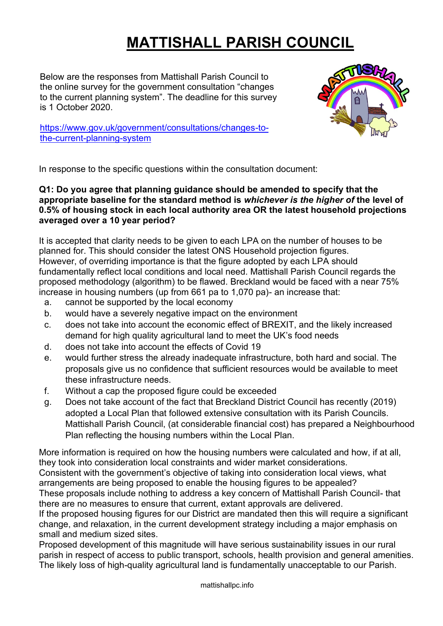# **MATTISHALL PARISH COUNCIL**

Below are the responses from Mattishall Parish Council to the online survey for the government consultation "changes to the current planning system". The deadline for this survey is 1 October 2020.

[https://www.gov.uk/government/consultations/changes-to](https://www.gov.uk/government/consultations/changes-to-the-current-planning-system)[the-current-planning-system](https://www.gov.uk/government/consultations/changes-to-the-current-planning-system)



In response to the specific questions within the consultation document:

# **Q1: Do you agree that planning guidance should be amended to specify that the appropriate baseline for the standard method is** *whichever is the higher of* **the level of 0.5% of housing stock in each local authority area OR the latest household projections averaged over a 10 year period?**

It is accepted that clarity needs to be given to each LPA on the number of houses to be planned for. This should consider the latest ONS Household projection figures. However, of overriding importance is that the figure adopted by each LPA should fundamentally reflect local conditions and local need. Mattishall Parish Council regards the proposed methodology (algorithm) to be flawed. Breckland would be faced with a near 75% increase in housing numbers (up from 661 pa to 1,070 pa)- an increase that:

- a. cannot be supported by the local economy
- b. would have a severely negative impact on the environment
- c. does not take into account the economic effect of BREXIT, and the likely increased demand for high quality agricultural land to meet the UK's food needs
- d. does not take into account the effects of Covid 19
- e. would further stress the already inadequate infrastructure, both hard and social. The proposals give us no confidence that sufficient resources would be available to meet these infrastructure needs.
- f. Without a cap the proposed figure could be exceeded
- g. Does not take account of the fact that Breckland District Council has recently (2019) adopted a Local Plan that followed extensive consultation with its Parish Councils. Mattishall Parish Council, (at considerable financial cost) has prepared a Neighbourhood Plan reflecting the housing numbers within the Local Plan.

More information is required on how the housing numbers were calculated and how, if at all, they took into consideration local constraints and wider market considerations. Consistent with the government's objective of taking into consideration local views, what arrangements are being proposed to enable the housing figures to be appealed? These proposals include nothing to address a key concern of Mattishall Parish Council- that there are no measures to ensure that current, extant approvals are delivered. If the proposed housing figures for our District are mandated then this will require a significant change, and relaxation, in the current development strategy including a major emphasis on

small and medium sized sites.

Proposed development of this magnitude will have serious sustainability issues in our rural parish in respect of access to public transport, schools, health provision and general amenities. The likely loss of high-quality agricultural land is fundamentally unacceptable to our Parish.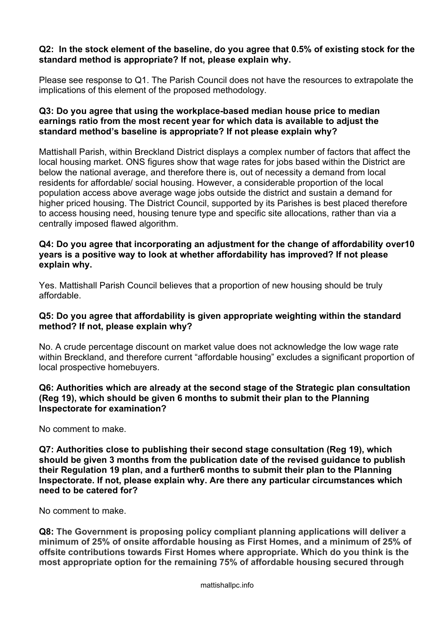#### **Q2: In the stock element of the baseline, do you agree that 0.5% of existing stock for the standard method is appropriate? If not, please explain why.**

Please see response to Q1. The Parish Council does not have the resources to extrapolate the implications of this element of the proposed methodology.

### **Q3: Do you agree that using the workplace-based median house price to median earnings ratio from the most recent year for which data is available to adjust the standard method's baseline is appropriate? If not please explain why?**

Mattishall Parish, within Breckland District displays a complex number of factors that affect the local housing market. ONS figures show that wage rates for jobs based within the District are below the national average, and therefore there is, out of necessity a demand from local residents for affordable/ social housing. However, a considerable proportion of the local population access above average wage jobs outside the district and sustain a demand for higher priced housing. The District Council, supported by its Parishes is best placed therefore to access housing need, housing tenure type and specific site allocations, rather than via a centrally imposed flawed algorithm.

#### **Q4: Do you agree that incorporating an adjustment for the change of affordability over10 years is a positive way to look at whether affordability has improved? If not please explain why.**

Yes. Mattishall Parish Council believes that a proportion of new housing should be truly affordable.

#### **Q5: Do you agree that affordability is given appropriate weighting within the standard method? If not, please explain why?**

No. A crude percentage discount on market value does not acknowledge the low wage rate within Breckland, and therefore current "affordable housing" excludes a significant proportion of local prospective homebuyers.

# **Q6: Authorities which are already at the second stage of the Strategic plan consultation (Reg 19), which should be given 6 months to submit their plan to the Planning Inspectorate for examination?**

No comment to make.

#### **Q7: Authorities close to publishing their second stage consultation (Reg 19), which should be given 3 months from the publication date of the revised guidance to publish their Regulation 19 plan, and a further6 months to submit their plan to the Planning Inspectorate. If not, please explain why. Are there any particular circumstances which need to be catered for?**

No comment to make.

**Q8: The Government is proposing policy compliant planning applications will deliver a minimum of 25% of onsite affordable housing as First Homes, and a minimum of 25% of offsite contributions towards First Homes where appropriate. Which do you think is the most appropriate option for the remaining 75% of affordable housing secured through**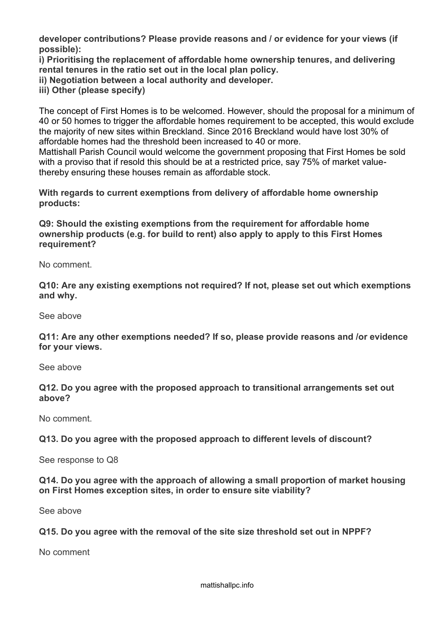**developer contributions? Please provide reasons and / or evidence for your views (if possible):**

**i) Prioritising the replacement of affordable home ownership tenures, and delivering rental tenures in the ratio set out in the local plan policy.**

**ii) Negotiation between a local authority and developer.**

**iii) Other (please specify)**

The concept of First Homes is to be welcomed. However, should the proposal for a minimum of 40 or 50 homes to trigger the affordable homes requirement to be accepted, this would exclude the majority of new sites within Breckland. Since 2016 Breckland would have lost 30% of affordable homes had the threshold been increased to 40 or more.

Mattishall Parish Council would welcome the government proposing that First Homes be sold with a proviso that if resold this should be at a restricted price, say 75% of market valuethereby ensuring these houses remain as affordable stock.

**With regards to current exemptions from delivery of affordable home ownership products:**

**Q9: Should the existing exemptions from the requirement for affordable home ownership products (e.g. for build to rent) also apply to apply to this First Homes requirement?**

No comment.

**Q10: Are any existing exemptions not required? If not, please set out which exemptions and why.**

See above

**Q11: Are any other exemptions needed? If so, please provide reasons and /or evidence for your views.**

See above

**Q12. Do you agree with the proposed approach to transitional arrangements set out above?**

No comment.

**Q13. Do you agree with the proposed approach to different levels of discount?**

See response to Q8

**Q14. Do you agree with the approach of allowing a small proportion of market housing on First Homes exception sites, in order to ensure site viability?**

See above

**Q15. Do you agree with the removal of the site size threshold set out in NPPF?**

No comment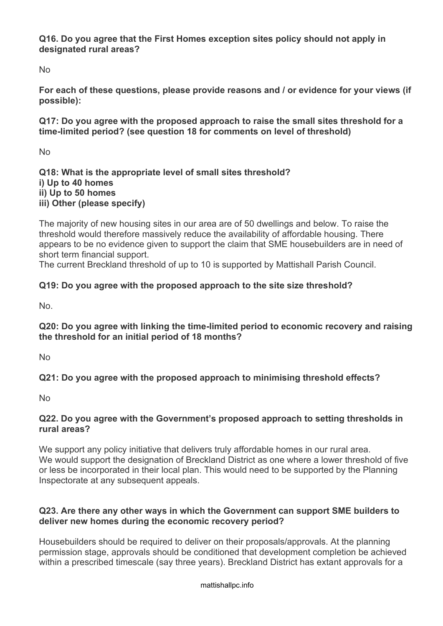**Q16. Do you agree that the First Homes exception sites policy should not apply in designated rural areas?**

No

**For each of these questions, please provide reasons and / or evidence for your views (if possible):**

**Q17: Do you agree with the proposed approach to raise the small sites threshold for a time-limited period? (see question 18 for comments on level of threshold)**

No

**Q18: What is the appropriate level of small sites threshold? i) Up to 40 homes ii) Up to 50 homes iii) Other (please specify)**

The majority of new housing sites in our area are of 50 dwellings and below. To raise the threshold would therefore massively reduce the availability of affordable housing. There appears to be no evidence given to support the claim that SME housebuilders are in need of short term financial support.

The current Breckland threshold of up to 10 is supported by Mattishall Parish Council.

# **Q19: Do you agree with the proposed approach to the site size threshold?**

No.

**Q20: Do you agree with linking the time-limited period to economic recovery and raising the threshold for an initial period of 18 months?**

No

**Q21: Do you agree with the proposed approach to minimising threshold effects?**

No

# **Q22. Do you agree with the Government's proposed approach to setting thresholds in rural areas?**

We support any policy initiative that delivers truly affordable homes in our rural area. We would support the designation of Breckland District as one where a lower threshold of five or less be incorporated in their local plan. This would need to be supported by the Planning Inspectorate at any subsequent appeals.

# **Q23. Are there any other ways in which the Government can support SME builders to deliver new homes during the economic recovery period?**

Housebuilders should be required to deliver on their proposals/approvals. At the planning permission stage, approvals should be conditioned that development completion be achieved within a prescribed timescale (say three years). Breckland District has extant approvals for a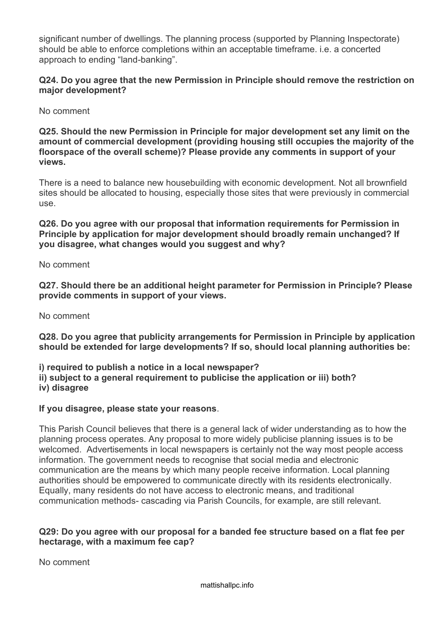significant number of dwellings. The planning process (supported by Planning Inspectorate) should be able to enforce completions within an acceptable timeframe. i.e. a concerted approach to ending "land-banking".

# **Q24. Do you agree that the new Permission in Principle should remove the restriction on major development?**

No comment

**Q25. Should the new Permission in Principle for major development set any limit on the amount of commercial development (providing housing still occupies the majority of the floorspace of the overall scheme)? Please provide any comments in support of your views.**

There is a need to balance new housebuilding with economic development. Not all brownfield sites should be allocated to housing, especially those sites that were previously in commercial use.

**Q26. Do you agree with our proposal that information requirements for Permission in Principle by application for major development should broadly remain unchanged? If you disagree, what changes would you suggest and why?**

No comment

**Q27. Should there be an additional height parameter for Permission in Principle? Please provide comments in support of your views.**

No comment

**Q28. Do you agree that publicity arrangements for Permission in Principle by application should be extended for large developments? If so, should local planning authorities be:**

**i) required to publish a notice in a local newspaper? ii) subject to a general requirement to publicise the application or iii) both? iv) disagree**

#### **If you disagree, please state your reasons**.

This Parish Council believes that there is a general lack of wider understanding as to how the planning process operates. Any proposal to more widely publicise planning issues is to be welcomed. Advertisements in local newspapers is certainly not the way most people access information. The government needs to recognise that social media and electronic communication are the means by which many people receive information. Local planning authorities should be empowered to communicate directly with its residents electronically. Equally, many residents do not have access to electronic means, and traditional communication methods- cascading via Parish Councils, for example, are still relevant.

# **Q29: Do you agree with our proposal for a banded fee structure based on a flat fee per hectarage, with a maximum fee cap?**

No comment